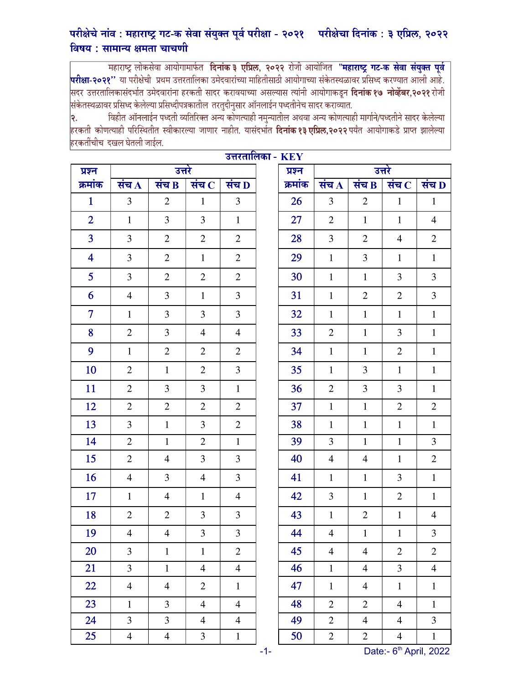## परीक्षेचे नांव : महाराष्ट्र गट-क सेवा संयुक्त पूर्व परीक्षा - २०२१ - परीक्षेचा दिनांक : ३ एप्रिल, २०२२ विषय : सामान्य क्षमता चाचणी

सहाराष्ट्र लोकसेवा आयोगामार्फत **दिनांक ३ एप्रिल, २०२२** रोजी आयोजित **"महाराष्ट्र गट-क सेवा संयुक्त पूर्व**<br>**परीक्षा-२०२१''** या परीक्षेची प्रथम उत्तरतालिका उमेदवारांच्या माहितीसाठी आयोगाच्या संकेतस्थळावर प्रसिध्द करण्यात आली संकेतस्थळावर प्रसिध्द केलेल्या प्रसिध्दीपत्रकातील तरतुदीनुसार ऑनलाईन पध्दतीनेच सादर कराव्यात.

विहीत ऑनलाईन पध्दती व्यतिरिक्त अन्य कोणत्याही नमुन्यातील अथवा अन्य कोणत्याही मार्गाने/पध्दतीने सादर केलेल्या २. .<br>हरकती कोणत्याही परिस्थितीत स्वीकारल्या जाणार नाहीत. यासंदर्भात **दिनांक१३ एप्रिल,२०२२** पर्यंत आयोगाकडे प्राप्त झालेल्या हरकतींचीच दखल घेतली जाईल.

 $\overline{\mathbf{r} \mathbf{z} \mathbf{n} \mathbf{x} \mathbf{z}}$ 

| उत्तरताालका - KEY       |                    |                |                |                |  |         |                    |                |                    |                |  |
|-------------------------|--------------------|----------------|----------------|----------------|--|---------|--------------------|----------------|--------------------|----------------|--|
| प्रश्न                  | उत्तरे             |                |                |                |  | प्रश्न  | उत्तरे             |                |                    |                |  |
| क्रमांक                 | संच $\overline{A}$ | संच B          | संच $\bf c$    | संच $\bf{D}$   |  | क्रमांक | संच $\overline{A}$ | संच B          | संच $\overline{C}$ | संच D          |  |
| $\mathbf{1}$            | $\overline{3}$     | $\overline{2}$ | $\mathbf{1}$   | 3              |  | 26      | $\mathfrak{Z}$     | $\mathfrak{2}$ | $\mathbf{1}$       | $\mathbf{1}$   |  |
| $\overline{2}$          | $\mathbf{1}$       | $\overline{3}$ | 3              | $\mathbf{1}$   |  | 27      | $\overline{2}$     | $\mathbf{1}$   | $\mathbf{1}$       | $\overline{4}$ |  |
| $\overline{3}$          | $\overline{3}$     | $\overline{2}$ | $\mathbf{2}$   | $\overline{2}$ |  | 28      | $\mathfrak{Z}$     | $\mathfrak{2}$ | $\overline{4}$     | $\mathbf{2}$   |  |
| $\overline{\mathbf{4}}$ | 3                  | $\overline{2}$ | $\mathbf{1}$   | $\overline{2}$ |  | 29      | $\mathbf{1}$       | 3              | $\mathbf{1}$       | $\mathbf{1}$   |  |
| $5\overline{)}$         | $\overline{3}$     | $\overline{2}$ | $\mathbf{2}$   | $\mathbf{2}$   |  | 30      | $\mathbf{1}$       | $\mathbf{1}$   | 3                  | $\mathfrak{Z}$ |  |
| 6                       | $\overline{4}$     | 3              | $\mathbf{1}$   | $\overline{3}$ |  | 31      | $\mathbf{1}$       | $\overline{2}$ | $\overline{2}$     | $\overline{3}$ |  |
| $\overline{7}$          | $\mathbf{1}$       | 3              | $\mathfrak{Z}$ | 3              |  | 32      | $\mathbf{1}$       | $\mathbf{1}$   | $\mathbf{1}$       | $\mathbf{1}$   |  |
| 8                       | $\mathfrak{2}$     | $\overline{3}$ | $\overline{4}$ | $\overline{4}$ |  | 33      | $\mathfrak{2}$     | $\mathbf{1}$   | $\overline{3}$     | $\mathbf{1}$   |  |
| 9                       | $\mathbf{1}$       | $\overline{2}$ | $\mathfrak{2}$ | $\overline{2}$ |  | 34      | $\mathbf{1}$       | $\mathbf{1}$   | $\overline{2}$     | $\mathbf{1}$   |  |
| 10                      | $\overline{2}$     | $\mathbf{1}$   | $\mathbf{2}$   | 3              |  | 35      | $\mathbf{1}$       | 3              | $\mathbf{1}$       | $\mathbf 1$    |  |
| 11                      | $\overline{2}$     | 3              | 3              | $\mathbf{1}$   |  | 36      | $\mathbf{2}$       | 3              | $\overline{3}$     | $\mathbf{1}$   |  |
| 12                      | $\overline{2}$     | $\overline{2}$ | $\mathbf{2}$   | $\overline{2}$ |  | 37      | $\mathbf{1}$       | $\mathbf{1}$   | $\overline{2}$     | $\mathbf{2}$   |  |
| 13                      | $\overline{3}$     | $\mathbf{1}$   | 3              | $\overline{2}$ |  | 38      | $\mathbf{1}$       | $\mathbf{1}$   | $\mathbf{1}$       | $\mathbf{1}$   |  |
| 14                      | $\overline{2}$     | $\mathbf{1}$   | $\mathbf{2}$   | $\mathbf{1}$   |  | 39      | 3                  | $\mathbf{1}$   | $\mathbf{1}$       | $\mathfrak{Z}$ |  |
| 15                      | $\overline{2}$     | $\overline{4}$ | 3              | 3              |  | 40      | $\overline{4}$     | $\overline{4}$ | $\mathbf{1}$       | $\mathbf{2}$   |  |
| 16                      | $\overline{4}$     | $\overline{3}$ | $\overline{4}$ | 3              |  | 41      | $\mathbf{1}$       | $\mathbf{1}$   | 3                  | $\mathbf{1}$   |  |
| 17                      | $\mathbf{1}$       | $\overline{4}$ | $\mathbf{1}$   | $\overline{4}$ |  | 42      | 3                  | $\mathbf{1}$   | $\overline{2}$     | $\mathbf{1}$   |  |
| 18                      | $\overline{2}$     | $\overline{2}$ | 3              | 3              |  | 43      | $\mathbf{1}$       | $\mathfrak{2}$ | $\mathbf{1}$       | $\overline{4}$ |  |
| 19                      | $\overline{4}$     | $\overline{4}$ | 3              | 3              |  | 44      | $\overline{4}$     | $\mathbf{1}$   | $\mathbf{1}$       | $\overline{3}$ |  |
| 20                      | 3                  | $\mathbf{1}$   | $\mathbf{1}$   | $\overline{2}$ |  | 45      | $\overline{4}$     | $\overline{4}$ | $\overline{2}$     | $\mathfrak{2}$ |  |
| 21                      | $\overline{3}$     | $\mathbf{1}$   | $\overline{4}$ | $\overline{4}$ |  | 46      | $\mathbf{1}$       | $\overline{4}$ | $\overline{3}$     | $\overline{4}$ |  |
| 22                      | $\overline{4}$     | $\overline{4}$ | $\mathbf{2}$   | $\mathbf{1}$   |  | 47      | $\mathbf{1}$       | $\overline{4}$ | $\mathbf{1}$       | $\mathbf 1$    |  |
| 23                      | $\mathbf{1}$       | $\overline{3}$ | $\overline{4}$ | $\overline{4}$ |  | 48      | $\mathbf{2}$       | $\mathbf{2}$   | $\overline{4}$     | $\mathbf{1}$   |  |
| 24                      | $\overline{3}$     | $\overline{3}$ | $\overline{4}$ | $\overline{4}$ |  | 49      | $\overline{2}$     | $\overline{4}$ | $\overline{4}$     | $\overline{3}$ |  |
| 25                      | $\overline{4}$     | $\overline{4}$ | $\mathfrak{Z}$ | $\mathbf{1}$   |  | 50      | $\overline{2}$     | $\overline{2}$ | $\overline{4}$     | $1\,$          |  |

-1- Date:- 6<sup>th</sup> April, 2022